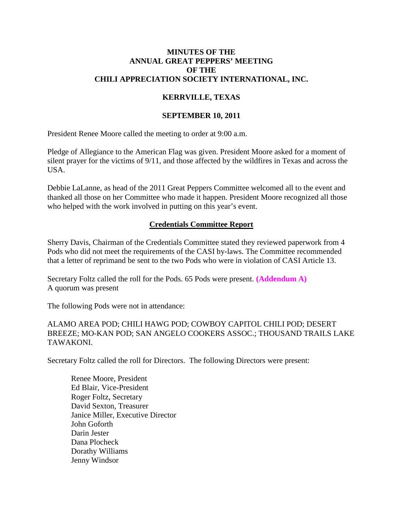### **MINUTES OF THE ANNUAL GREAT PEPPERS' MEETING OF THE CHILI APPRECIATION SOCIETY INTERNATIONAL, INC.**

## **KERRVILLE, TEXAS**

### **SEPTEMBER 10, 2011**

President Renee Moore called the meeting to order at 9:00 a.m.

Pledge of Allegiance to the American Flag was given. President Moore asked for a moment of silent prayer for the victims of 9/11, and those affected by the wildfires in Texas and across the USA.

Debbie LaLanne, as head of the 2011 Great Peppers Committee welcomed all to the event and thanked all those on her Committee who made it happen. President Moore recognized all those who helped with the work involved in putting on this year's event.

## **Credentials Committee Report**

Sherry Davis, Chairman of the Credentials Committee stated they reviewed paperwork from 4 Pods who did not meet the requirements of the CASI by-laws. The Committee recommended that a letter of reprimand be sent to the two Pods who were in violation of CASI Article 13.

Secretary Foltz called the roll for the Pods. 65 Pods were present. **(Addendum A)** A quorum was present

The following Pods were not in attendance:

ALAMO AREA POD; CHILI HAWG POD; COWBOY CAPITOL CHILI POD; DESERT BREEZE; MO-KAN POD; SAN ANGELO COOKERS ASSOC.; THOUSAND TRAILS LAKE TAWAKONI.

Secretary Foltz called the roll for Directors. The following Directors were present:

Renee Moore, President Ed Blair, Vice-President Roger Foltz, Secretary David Sexton, Treasurer Janice Miller, Executive Director John Goforth Darin Jester Dana Plocheck Dorathy Williams Jenny Windsor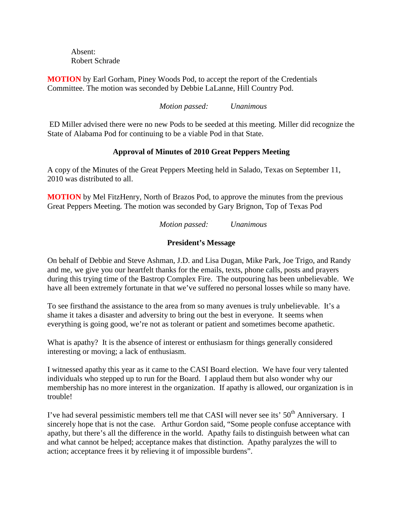Absent: Robert Schrade

**MOTION** by Earl Gorham, Piney Woods Pod, to accept the report of the Credentials Committee. The motion was seconded by Debbie LaLanne, Hill Country Pod.

*Motion passed: Unanimous*

ED Miller advised there were no new Pods to be seeded at this meeting. Miller did recognize the State of Alabama Pod for continuing to be a viable Pod in that State.

## **Approval of Minutes of 2010 Great Peppers Meeting**

A copy of the Minutes of the Great Peppers Meeting held in Salado, Texas on September 11, 2010 was distributed to all.

**MOTION** by Mel FitzHenry, North of Brazos Pod, to approve the minutes from the previous Great Peppers Meeting. The motion was seconded by Gary Brignon, Top of Texas Pod

*Motion passed: Unanimous*

## **President's Message**

On behalf of Debbie and Steve Ashman, J.D. and Lisa Dugan, Mike Park, Joe Trigo, and Randy and me, we give you our heartfelt thanks for the emails, texts, phone calls, posts and prayers during this trying time of the Bastrop Complex Fire. The outpouring has been unbelievable. We have all been extremely fortunate in that we've suffered no personal losses while so many have.

To see firsthand the assistance to the area from so many avenues is truly unbelievable. It's a shame it takes a disaster and adversity to bring out the best in everyone. It seems when everything is going good, we're not as tolerant or patient and sometimes become apathetic.

What is apathy? It is the absence of interest or enthusiasm for things generally considered interesting or moving; a lack of enthusiasm.

I witnessed apathy this year as it came to the CASI Board election. We have four very talented individuals who stepped up to run for the Board. I applaud them but also wonder why our membership has no more interest in the organization. If apathy is allowed, our organization is in trouble!

I've had several pessimistic members tell me that CASI will never see its' 50<sup>th</sup> Anniversary. I sincerely hope that is not the case. Arthur Gordon said, "Some people confuse acceptance with apathy, but there's all the difference in the world. Apathy fails to distinguish between what can and what cannot be helped; acceptance makes that distinction. Apathy paralyzes the will to action; acceptance frees it by relieving it of impossible burdens".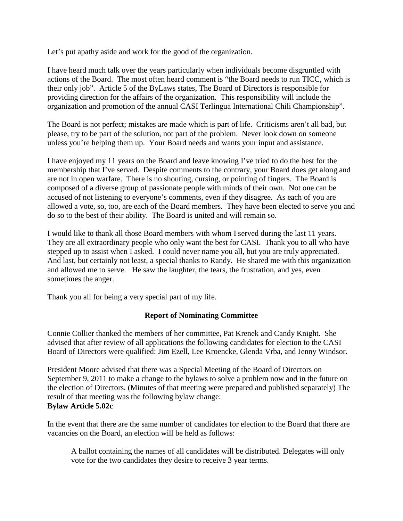Let's put apathy aside and work for the good of the organization.

I have heard much talk over the years particularly when individuals become disgruntled with actions of the Board. The most often heard comment is "the Board needs to run TICC, which is their only job". Article 5 of the ByLaws states, The Board of Directors is responsible for providing direction for the affairs of the organization. This responsibility will include the organization and promotion of the annual CASI Terlingua International Chili Championship".

The Board is not perfect; mistakes are made which is part of life. Criticisms aren't all bad, but please, try to be part of the solution, not part of the problem. Never look down on someone unless you're helping them up. Your Board needs and wants your input and assistance.

I have enjoyed my 11 years on the Board and leave knowing I've tried to do the best for the membership that I've served. Despite comments to the contrary, your Board does get along and are not in open warfare. There is no shouting, cursing, or pointing of fingers. The Board is composed of a diverse group of passionate people with minds of their own. Not one can be accused of not listening to everyone's comments, even if they disagree. As each of you are allowed a vote, so, too, are each of the Board members. They have been elected to serve you and do so to the best of their ability. The Board is united and will remain so.

I would like to thank all those Board members with whom I served during the last 11 years. They are all extraordinary people who only want the best for CASI. Thank you to all who have stepped up to assist when I asked. I could never name you all, but you are truly appreciated. And last, but certainly not least, a special thanks to Randy. He shared me with this organization and allowed me to serve. He saw the laughter, the tears, the frustration, and yes, even sometimes the anger.

Thank you all for being a very special part of my life.

## **Report of Nominating Committee**

Connie Collier thanked the members of her committee, Pat Krenek and Candy Knight. She advised that after review of all applications the following candidates for election to the CASI Board of Directors were qualified: Jim Ezell, Lee Kroencke, Glenda Vrba, and Jenny Windsor.

President Moore advised that there was a Special Meeting of the Board of Directors on September 9, 2011 to make a change to the bylaws to solve a problem now and in the future on the election of Directors. (Minutes of that meeting were prepared and published separately) The result of that meeting was the following bylaw change: **Bylaw Article 5.02c**

In the event that there are the same number of candidates for election to the Board that there are vacancies on the Board, an election will be held as follows:

A ballot containing the names of all candidates will be distributed. Delegates will only vote for the two candidates they desire to receive 3 year terms.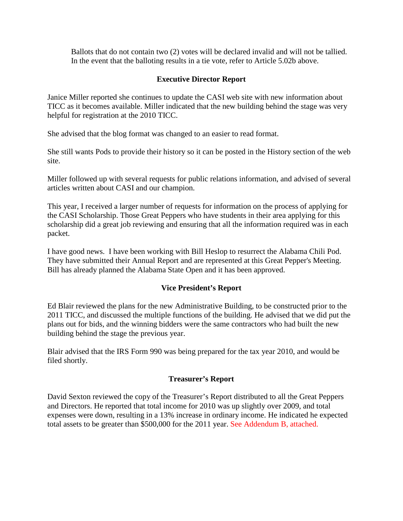Ballots that do not contain two (2) votes will be declared invalid and will not be tallied. In the event that the balloting results in a tie vote, refer to Article 5.02b above.

## **Executive Director Report**

Janice Miller reported she continues to update the CASI web site with new information about TICC as it becomes available. Miller indicated that the new building behind the stage was very helpful for registration at the 2010 TICC.

She advised that the blog format was changed to an easier to read format.

She still wants Pods to provide their history so it can be posted in the History section of the web site.

Miller followed up with several requests for public relations information, and advised of several articles written about CASI and our champion.

This year, I received a larger number of requests for information on the process of applying for the CASI Scholarship. Those Great Peppers who have students in their area applying for this scholarship did a great job reviewing and ensuring that all the information required was in each packet.

I have good news. I have been working with Bill Heslop to resurrect the Alabama Chili Pod. They have submitted their Annual Report and are represented at this Great Pepper's Meeting. Bill has already planned the Alabama State Open and it has been approved.

## **Vice President's Report**

Ed Blair reviewed the plans for the new Administrative Building, to be constructed prior to the 2011 TICC, and discussed the multiple functions of the building. He advised that we did put the plans out for bids, and the winning bidders were the same contractors who had built the new building behind the stage the previous year.

Blair advised that the IRS Form 990 was being prepared for the tax year 2010, and would be filed shortly.

## **Treasurer's Report**

David Sexton reviewed the copy of the Treasurer's Report distributed to all the Great Peppers and Directors. He reported that total income for 2010 was up slightly over 2009, and total expenses were down, resulting in a 13% increase in ordinary income. He indicated he expected total assets to be greater than \$500,000 for the 2011 year. See Addendum B, attached.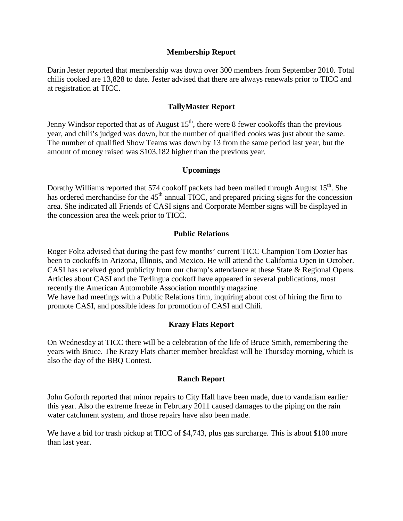#### **Membership Report**

Darin Jester reported that membership was down over 300 members from September 2010. Total chilis cooked are 13,828 to date. Jester advised that there are always renewals prior to TICC and at registration at TICC.

### **TallyMaster Report**

Jenny Windsor reported that as of August  $15<sup>th</sup>$ , there were 8 fewer cookoffs than the previous year, and chili's judged was down, but the number of qualified cooks was just about the same. The number of qualified Show Teams was down by 13 from the same period last year, but the amount of money raised was \$103,182 higher than the previous year.

### **Upcomings**

Dorathy Williams reported that 574 cookoff packets had been mailed through August 15<sup>th</sup>. She has ordered merchandise for the  $45<sup>th</sup>$  annual TICC, and prepared pricing signs for the concession area. She indicated all Friends of CASI signs and Corporate Member signs will be displayed in the concession area the week prior to TICC.

### **Public Relations**

Roger Foltz advised that during the past few months' current TICC Champion Tom Dozier has been to cookoffs in Arizona, Illinois, and Mexico. He will attend the California Open in October. CASI has received good publicity from our champ's attendance at these State & Regional Opens. Articles about CASI and the Terlingua cookoff have appeared in several publications, most recently the American Automobile Association monthly magazine. We have had meetings with a Public Relations firm, inquiring about cost of hiring the firm to

promote CASI, and possible ideas for promotion of CASI and Chili.

### **Krazy Flats Report**

On Wednesday at TICC there will be a celebration of the life of Bruce Smith, remembering the years with Bruce. The Krazy Flats charter member breakfast will be Thursday morning, which is also the day of the BBQ Contest.

#### **Ranch Report**

John Goforth reported that minor repairs to City Hall have been made, due to vandalism earlier this year. Also the extreme freeze in February 2011 caused damages to the piping on the rain water catchment system, and those repairs have also been made.

We have a bid for trash pickup at TICC of \$4,743, plus gas surcharge. This is about \$100 more than last year.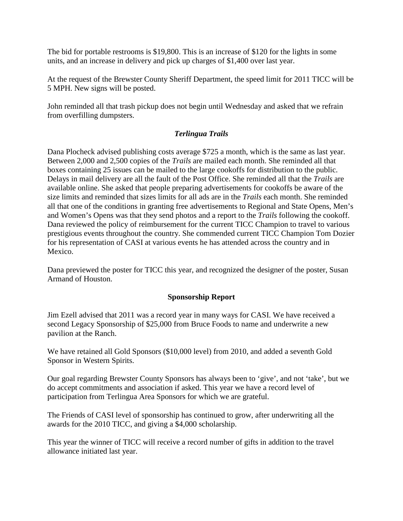The bid for portable restrooms is \$19,800. This is an increase of \$120 for the lights in some units, and an increase in delivery and pick up charges of \$1,400 over last year.

At the request of the Brewster County Sheriff Department, the speed limit for 2011 TICC will be 5 MPH. New signs will be posted.

John reminded all that trash pickup does not begin until Wednesday and asked that we refrain from overfilling dumpsters.

## *Terlingua Trails*

Dana Plocheck advised publishing costs average \$725 a month, which is the same as last year. Between 2,000 and 2,500 copies of the *Trails* are mailed each month. She reminded all that boxes containing 25 issues can be mailed to the large cookoffs for distribution to the public. Delays in mail delivery are all the fault of the Post Office. She reminded all that the *Trails* are available online. She asked that people preparing advertisements for cookoffs be aware of the size limits and reminded that sizes limits for all ads are in the *Trails* each month. She reminded all that one of the conditions in granting free advertisements to Regional and State Opens, Men's and Women's Opens was that they send photos and a report to the *Trails* following the cookoff. Dana reviewed the policy of reimbursement for the current TICC Champion to travel to various prestigious events throughout the country. She commended current TICC Champion Tom Dozier for his representation of CASI at various events he has attended across the country and in Mexico.

Dana previewed the poster for TICC this year, and recognized the designer of the poster, Susan Armand of Houston.

## **Sponsorship Report**

Jim Ezell advised that 2011 was a record year in many ways for CASI. We have received a second Legacy Sponsorship of \$25,000 from Bruce Foods to name and underwrite a new pavilion at the Ranch.

We have retained all Gold Sponsors (\$10,000 level) from 2010, and added a seventh Gold Sponsor in Western Spirits.

Our goal regarding Brewster County Sponsors has always been to 'give', and not 'take', but we do accept commitments and association if asked. This year we have a record level of participation from Terlingua Area Sponsors for which we are grateful.

The Friends of CASI level of sponsorship has continued to grow, after underwriting all the awards for the 2010 TICC, and giving a \$4,000 scholarship.

This year the winner of TICC will receive a record number of gifts in addition to the travel allowance initiated last year.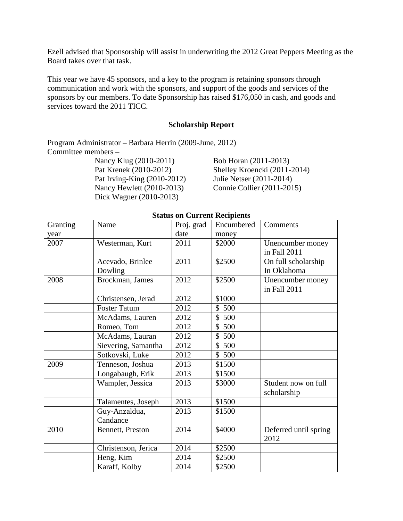Ezell advised that Sponsorship will assist in underwriting the 2012 Great Peppers Meeting as the Board takes over that task.

This year we have 45 sponsors, and a key to the program is retaining sponsors through communication and work with the sponsors, and support of the goods and services of the sponsors by our members. To date Sponsorship has raised \$176,050 in cash, and goods and services toward the 2011 TICC.

#### **Scholarship Report**

Program Administrator – Barbara Herrin (2009-June, 2012) Committee members –

Pat Irving-King (2010-2012) Julie Netser (2011-2014) Nancy Hewlett (2010-2013) Connie Collier (2011-2015) Dick Wagner (2010-2013)

Nancy Klug (2010-2011) Bob Horan (2011-2013) Pat Krenek (2010-2012) Shelley Kroencki (2011-2014)

|          |                     | s on carrent recipients |                     |                       |
|----------|---------------------|-------------------------|---------------------|-----------------------|
| Granting | Name                | Proj. grad              | Encumbered          | Comments              |
| year     |                     | date                    | money               |                       |
| 2007     | Westerman, Kurt     | 2011                    | \$2000              | Unencumber money      |
|          |                     |                         |                     | in Fall 2011          |
|          | Acevado, Brinlee    | 2011                    | \$2500              | On full scholarship   |
|          | Dowling             |                         |                     | In Oklahoma           |
| 2008     | Brockman, James     | 2012                    | \$2500              | Unencumber money      |
|          |                     |                         |                     | in Fall 2011          |
|          | Christensen, Jerad  | 2012                    | \$1000              |                       |
|          | <b>Foster Tatum</b> | 2012                    | \$500               |                       |
|          | McAdams, Lauren     | 2012                    | \$500               |                       |
|          | Romeo, Tom          | 2012                    | $\mathbb{S}$<br>500 |                       |
|          | McAdams, Lauran     | 2012                    | \$500               |                       |
|          | Sievering, Samantha | 2012                    | \$500               |                       |
|          | Sotkovski, Luke     | 2012                    | \$500               |                       |
| 2009     | Tenneson, Joshua    | 2013                    | \$1500              |                       |
|          | Longabaugh, Erik    | 2013                    | \$1500              |                       |
|          | Wampler, Jessica    | 2013                    | \$3000              | Student now on full   |
|          |                     |                         |                     | scholarship           |
|          | Talamentes, Joseph  | 2013                    | \$1500              |                       |
|          | Guy-Anzaldua,       | 2013                    | \$1500              |                       |
|          | Candance            |                         |                     |                       |
| 2010     | Bennett, Preston    | 2014                    | \$4000              | Deferred until spring |
|          |                     |                         |                     | 2012                  |
|          | Christenson, Jerica | 2014                    | \$2500              |                       |
|          | Heng, Kim           | 2014                    | \$2500              |                       |
|          | Karaff, Kolby       | 2014                    | \$2500              |                       |
|          |                     |                         |                     |                       |

## **Status on Current Recipients**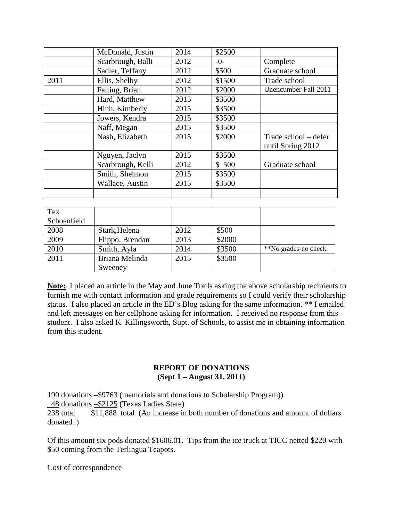|      | McDonald, Justin  | 2014 | \$2500 |                                           |
|------|-------------------|------|--------|-------------------------------------------|
|      | Scarbrough, Balli | 2012 | $-0-$  | Complete                                  |
|      | Sadler, Teffany   | 2012 | \$500  | Graduate school                           |
| 2011 | Ellis, Shelby     | 2012 | \$1500 | Trade school                              |
|      | Falting, Brian    | 2012 | \$2000 | Unencumber Fall 2011                      |
|      | Hard, Matthew     | 2015 | \$3500 |                                           |
|      | Hinh, Kimberly    | 2015 | \$3500 |                                           |
|      | Jowers, Kendra    | 2015 | \$3500 |                                           |
|      | Naff, Megan       | 2015 | \$3500 |                                           |
|      | Nash, Elizabeth   | 2015 | \$2000 | Trade school – defer<br>until Spring 2012 |
|      | Nguyen, Jaclyn    | 2015 | \$3500 |                                           |
|      | Scarbrough, Kelli | 2012 | \$500  | Graduate school                           |
|      | Smith, Shelmon    | 2015 | \$3500 |                                           |
|      | Wallace, Austin   | 2015 | \$3500 |                                           |
|      |                   |      |        |                                           |

| Tex         |                 |      |        |                      |
|-------------|-----------------|------|--------|----------------------|
| Schoenfield |                 |      |        |                      |
| 2008        | Stark, Helena   | 2012 | \$500  |                      |
| 2009        | Flippo, Brendan | 2013 | \$2000 |                      |
| 2010        | Smith, Ayla     | 2014 | \$3500 | **No grades-no check |
| 2011        | Briana Melinda  | 2015 | \$3500 |                      |
|             | Sweeney         |      |        |                      |

**Note:** I placed an article in the May and June Trails asking the above scholarship recipients to furnish me with contact information and grade requirements so I could verify their scholarship status. I also placed an article in the ED's Blog asking for the same information. \*\* I emailed and left messages on her cellphone asking for information. I received no response from this student. I also asked K. Killingsworth, Supt. of Schools, to assist me in obtaining information from this student.

#### **REPORT OF DONATIONS (Sept 1 – August 31, 2011)**

190 donations –\$9763 (memorials and donations to Scholarship Program))

48 donations –\$2125 (Texas Ladies State)

238 total \$11,888 total (An increase in both number of donations and amount of dollars donated. )

Of this amount six pods donated \$1606.01. Tips from the ice truck at TICC netted \$220 with \$50 coming from the Terlingua Teapots.

Cost of correspondence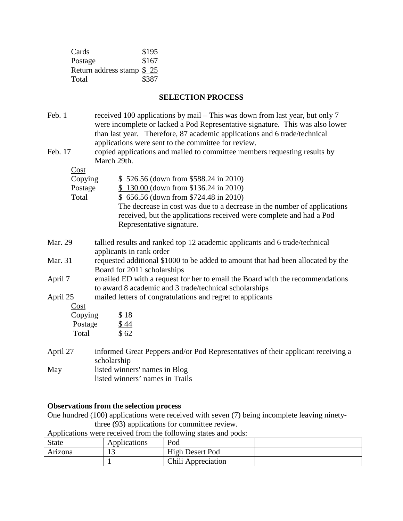| Cards                     | \$195 |
|---------------------------|-------|
| Postage                   | \$167 |
| Return address stamp \$25 |       |
| Total                     | \$387 |

# **SELECTION PROCESS**

| Feb. 1   | received 100 applications by mail – This was down from last year, but only 7<br>were incomplete or lacked a Pod Representative signature. This was also lower<br>than last year. Therefore, 87 academic applications and 6 trade/technical<br>applications were sent to the committee for review. |  |  |
|----------|---------------------------------------------------------------------------------------------------------------------------------------------------------------------------------------------------------------------------------------------------------------------------------------------------|--|--|
| Feb. 17  | copied applications and mailed to committee members requesting results by<br>March 29th.                                                                                                                                                                                                          |  |  |
| Cost     |                                                                                                                                                                                                                                                                                                   |  |  |
| Copying  | \$526.56 (down from \$588.24 in 2010)                                                                                                                                                                                                                                                             |  |  |
| Postage  | $$130.00$ (down from \$136.24 in 2010)                                                                                                                                                                                                                                                            |  |  |
| Total    | \$656.56 (down from \$724.48 in 2010)                                                                                                                                                                                                                                                             |  |  |
|          | The decrease in cost was due to a decrease in the number of applications<br>received, but the applications received were complete and had a Pod<br>Representative signature.                                                                                                                      |  |  |
| Mar. 29  | tallied results and ranked top 12 academic applicants and 6 trade/technical<br>applicants in rank order                                                                                                                                                                                           |  |  |
| Mar. 31  | requested additional \$1000 to be added to amount that had been allocated by the<br>Board for 2011 scholarships                                                                                                                                                                                   |  |  |
| April 7  | emailed ED with a request for her to email the Board with the recommendations<br>to award 8 academic and 3 trade/technical scholarships                                                                                                                                                           |  |  |
| April 25 | mailed letters of congratulations and regret to applicants                                                                                                                                                                                                                                        |  |  |
| Cost     |                                                                                                                                                                                                                                                                                                   |  |  |
| Copying  | \$18                                                                                                                                                                                                                                                                                              |  |  |
| Postage  | $\frac{$44}{$62}$                                                                                                                                                                                                                                                                                 |  |  |
| Total    |                                                                                                                                                                                                                                                                                                   |  |  |
| April 27 | informed Great Peppers and/or Pod Representatives of their applicant receiving a<br>scholarship                                                                                                                                                                                                   |  |  |
| May      | listed winners' names in Blog                                                                                                                                                                                                                                                                     |  |  |
|          | listed winners' names in Trails                                                                                                                                                                                                                                                                   |  |  |

# **Observations from the selection process**

One hundred (100) applications were received with seven (7) being incomplete leaving ninetythree (93) applications for committee review.

| Applications were received from the following states and pods: |  |  |
|----------------------------------------------------------------|--|--|
|                                                                |  |  |

| <b>State</b> | Applications | Pod                |  |
|--------------|--------------|--------------------|--|
| Arizona      | ⊥ J          | High Desert Pod    |  |
|              |              | Chili Appreciation |  |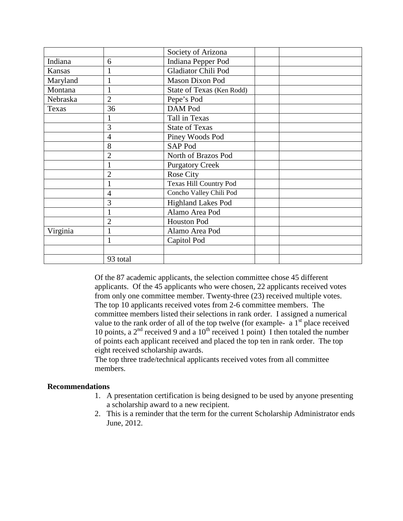|          |                | Society of Arizona            |  |
|----------|----------------|-------------------------------|--|
| Indiana  | 6              | Indiana Pepper Pod            |  |
| Kansas   |                | Gladiator Chili Pod           |  |
| Maryland |                | <b>Mason Dixon Pod</b>        |  |
| Montana  |                | State of Texas (Ken Rodd)     |  |
| Nebraska | $\overline{2}$ | Pepe's Pod                    |  |
| Texas    | 36             | DAM Pod                       |  |
|          |                | Tall in Texas                 |  |
|          | 3              | <b>State of Texas</b>         |  |
|          | 4              | Piney Woods Pod               |  |
|          | 8              | SAP Pod                       |  |
|          | $\overline{2}$ | North of Brazos Pod           |  |
|          |                | <b>Purgatory Creek</b>        |  |
|          | $\overline{2}$ | Rose City                     |  |
|          |                | <b>Texas Hill Country Pod</b> |  |
|          | 4              | Concho Valley Chili Pod       |  |
|          | 3              | <b>Highland Lakes Pod</b>     |  |
|          |                | Alamo Area Pod                |  |
|          | $\overline{2}$ | <b>Houston Pod</b>            |  |
| Virginia |                | Alamo Area Pod                |  |
|          | $\mathbf{1}$   | Capitol Pod                   |  |
|          |                |                               |  |
|          | 93 total       |                               |  |

Of the 87 academic applicants, the selection committee chose 45 different applicants. Of the 45 applicants who were chosen, 22 applicants received votes from only one committee member. Twenty-three (23) received multiple votes. The top 10 applicants received votes from 2-6 committee members. The committee members listed their selections in rank order. I assigned a numerical value to the rank order of all of the top twelve (for example-  $a_1$ <sup>st</sup> place received 10 points, a  $2<sup>nd</sup>$  received 9 and a 10<sup>th</sup> received 1 point) I then totaled the number of points each applicant received and placed the top ten in rank order. The top eight received scholarship awards.

The top three trade/technical applicants received votes from all committee members.

### **Recommendations**

- 1. A presentation certification is being designed to be used by anyone presenting a scholarship award to a new recipient.
- 2. This is a reminder that the term for the current Scholarship Administrator ends June, 2012.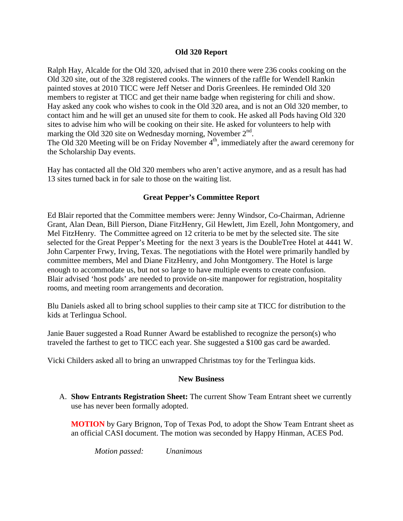### **Old 320 Report**

Ralph Hay, Alcalde for the Old 320, advised that in 2010 there were 236 cooks cooking on the Old 320 site, out of the 328 registered cooks. The winners of the raffle for Wendell Rankin painted stoves at 2010 TICC were Jeff Netser and Doris Greenlees. He reminded Old 320 members to register at TICC and get their name badge when registering for chili and show. Hay asked any cook who wishes to cook in the Old 320 area, and is not an Old 320 member, to contact him and he will get an unused site for them to cook. He asked all Pods having Old 320 sites to advise him who will be cooking on their site. He asked for volunteers to help with marking the Old 320 site on Wednesday morning, November  $2<sup>nd</sup>$ . The Old 320 Meeting will be on Friday November  $4<sup>th</sup>$ , immediately after the award ceremony for the Scholarship Day events.

Hay has contacted all the Old 320 members who aren't active anymore, and as a result has had 13 sites turned back in for sale to those on the waiting list.

## **Great Pepper's Committee Report**

Ed Blair reported that the Committee members were: Jenny Windsor, Co-Chairman, Adrienne Grant, Alan Dean, Bill Pierson, Diane FitzHenry, Gil Hewlett, Jim Ezell, John Montgomery, and Mel FitzHenry. The Committee agreed on 12 criteria to be met by the selected site. The site selected for the Great Pepper's Meeting for the next 3 years is the DoubleTree Hotel at 4441 W. John Carpenter Frwy, Irving, Texas. The negotiations with the Hotel were primarily handled by committee members, Mel and Diane FitzHenry, and John Montgomery. The Hotel is large enough to accommodate us, but not so large to have multiple events to create confusion. Blair advised 'host pods' are needed to provide on-site manpower for registration, hospitality rooms, and meeting room arrangements and decoration.

Blu Daniels asked all to bring school supplies to their camp site at TICC for distribution to the kids at Terlingua School.

Janie Bauer suggested a Road Runner Award be established to recognize the person(s) who traveled the farthest to get to TICC each year. She suggested a \$100 gas card be awarded.

Vicki Childers asked all to bring an unwrapped Christmas toy for the Terlingua kids.

#### **New Business**

A. **Show Entrants Registration Sheet:** The current Show Team Entrant sheet we currently use has never been formally adopted.

**MOTION** by Gary Brignon, Top of Texas Pod, to adopt the Show Team Entrant sheet as an official CASI document. The motion was seconded by Happy Hinman, ACES Pod.

*Motion passed: Unanimous*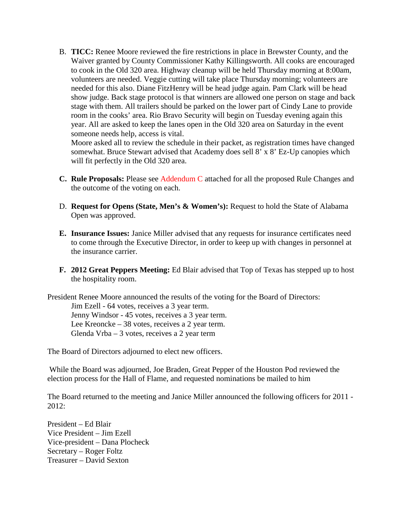B. **TICC:** Renee Moore reviewed the fire restrictions in place in Brewster County, and the Waiver granted by County Commissioner Kathy Killingsworth. All cooks are encouraged to cook in the Old 320 area. Highway cleanup will be held Thursday morning at 8:00am, volunteers are needed. Veggie cutting will take place Thursday morning; volunteers are needed for this also. Diane FitzHenry will be head judge again. Pam Clark will be head show judge. Back stage protocol is that winners are allowed one person on stage and back stage with them. All trailers should be parked on the lower part of Cindy Lane to provide room in the cooks' area. Rio Bravo Security will begin on Tuesday evening again this year. All are asked to keep the lanes open in the Old 320 area on Saturday in the event someone needs help, access is vital.

Moore asked all to review the schedule in their packet, as registration times have changed somewhat. Bruce Stewart advised that Academy does sell 8' x 8' Ez-Up canopies which will fit perfectly in the Old 320 area.

- **C. Rule Proposals:** Please see Addendum C attached for all the proposed Rule Changes and the outcome of the voting on each.
- D. **Request for Opens (State, Men's & Women's):** Request to hold the State of Alabama Open was approved.
- **E. Insurance Issues:** Janice Miller advised that any requests for insurance certificates need to come through the Executive Director, in order to keep up with changes in personnel at the insurance carrier.
- **F. 2012 Great Peppers Meeting:** Ed Blair advised that Top of Texas has stepped up to host the hospitality room.

President Renee Moore announced the results of the voting for the Board of Directors: Jim Ezell - 64 votes, receives a 3 year term. Jenny Windsor - 45 votes, receives a 3 year term. Lee Kreoncke – 38 votes, receives a 2 year term. Glenda Vrba – 3 votes, receives a 2 year term

The Board of Directors adjourned to elect new officers.

While the Board was adjourned, Joe Braden, Great Pepper of the Houston Pod reviewed the election process for the Hall of Flame, and requested nominations be mailed to him

The Board returned to the meeting and Janice Miller announced the following officers for 2011 - 2012:

President – Ed Blair Vice President – Jim Ezell Vice-president – Dana Plocheck Secretary – Roger Foltz Treasurer – David Sexton